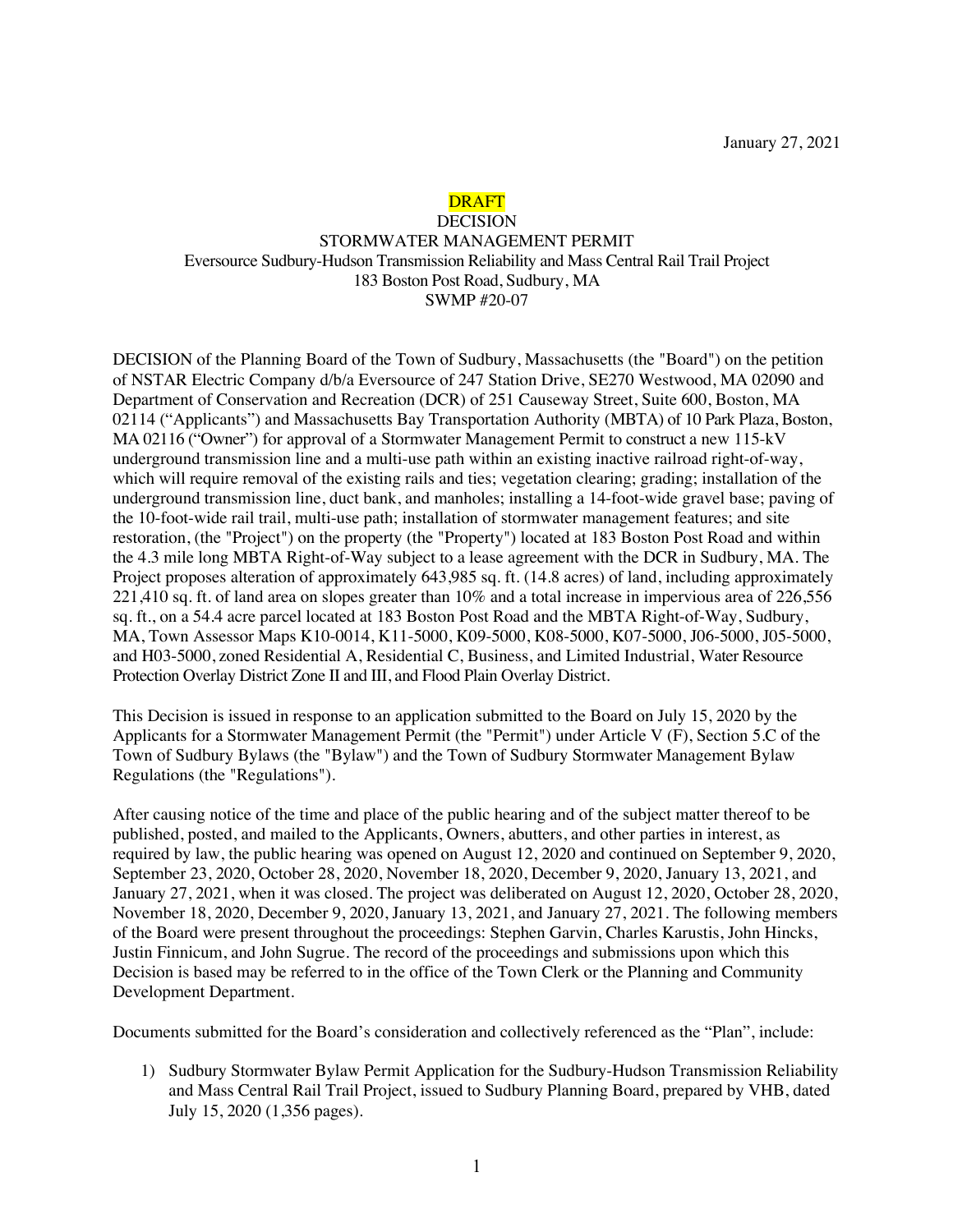# DRAFT

## DECISION STORMWATER MANAGEMENT PERMIT Eversource Sudbury-Hudson Transmission Reliability and Mass Central Rail Trail Project 183 Boston Post Road, Sudbury, MA

SWMP #20-07

DECISION of the Planning Board of the Town of Sudbury, Massachusetts (the "Board") on the petition of NSTAR Electric Company d/b/a Eversource of 247 Station Drive, SE270 Westwood, MA 02090 and Department of Conservation and Recreation (DCR) of 251 Causeway Street, Suite 600, Boston, MA 02114 ("Applicants") and Massachusetts Bay Transportation Authority (MBTA) of 10 Park Plaza, Boston, MA 02116 ("Owner") for approval of a Stormwater Management Permit to construct a new 115-kV underground transmission line and a multi-use path within an existing inactive railroad right-of-way, which will require removal of the existing rails and ties; vegetation clearing; grading; installation of the underground transmission line, duct bank, and manholes; installing a 14-foot-wide gravel base; paving of the 10-foot-wide rail trail, multi-use path; installation of stormwater management features; and site restoration, (the "Project") on the property (the "Property") located at 183 Boston Post Road and within the 4.3 mile long MBTA Right-of-Way subject to a lease agreement with the DCR in Sudbury, MA. The Project proposes alteration of approximately 643,985 sq. ft. (14.8 acres) of land, including approximately 221,410 sq. ft. of land area on slopes greater than 10% and a total increase in impervious area of 226,556 sq. ft., on a 54.4 acre parcel located at 183 Boston Post Road and the MBTA Right-of-Way, Sudbury, MA, Town Assessor Maps K10-0014, K11-5000, K09-5000, K08-5000, K07-5000, J06-5000, J05-5000, and H03-5000, zoned Residential A, Residential C, Business, and Limited Industrial, Water Resource Protection Overlay District Zone II and III, and Flood Plain Overlay District.

This Decision is issued in response to an application submitted to the Board on July 15, 2020 by the Applicants for a Stormwater Management Permit (the "Permit") under Article V (F), Section 5.C of the Town of Sudbury Bylaws (the "Bylaw") and the Town of Sudbury Stormwater Management Bylaw Regulations (the "Regulations").

After causing notice of the time and place of the public hearing and of the subject matter thereof to be published, posted, and mailed to the Applicants, Owners, abutters, and other parties in interest, as required by law, the public hearing was opened on August 12, 2020 and continued on September 9, 2020, September 23, 2020, October 28, 2020, November 18, 2020, December 9, 2020, January 13, 2021, and January 27, 2021, when it was closed. The project was deliberated on August 12, 2020, October 28, 2020, November 18, 2020, December 9, 2020, January 13, 2021, and January 27, 2021. The following members of the Board were present throughout the proceedings: Stephen Garvin, Charles Karustis, John Hincks, Justin Finnicum, and John Sugrue. The record of the proceedings and submissions upon which this Decision is based may be referred to in the office of the Town Clerk or the Planning and Community Development Department.

Documents submitted for the Board's consideration and collectively referenced as the "Plan", include:

1) Sudbury Stormwater Bylaw Permit Application for the Sudbury-Hudson Transmission Reliability and Mass Central Rail Trail Project, issued to Sudbury Planning Board, prepared by VHB, dated July 15, 2020 (1,356 pages).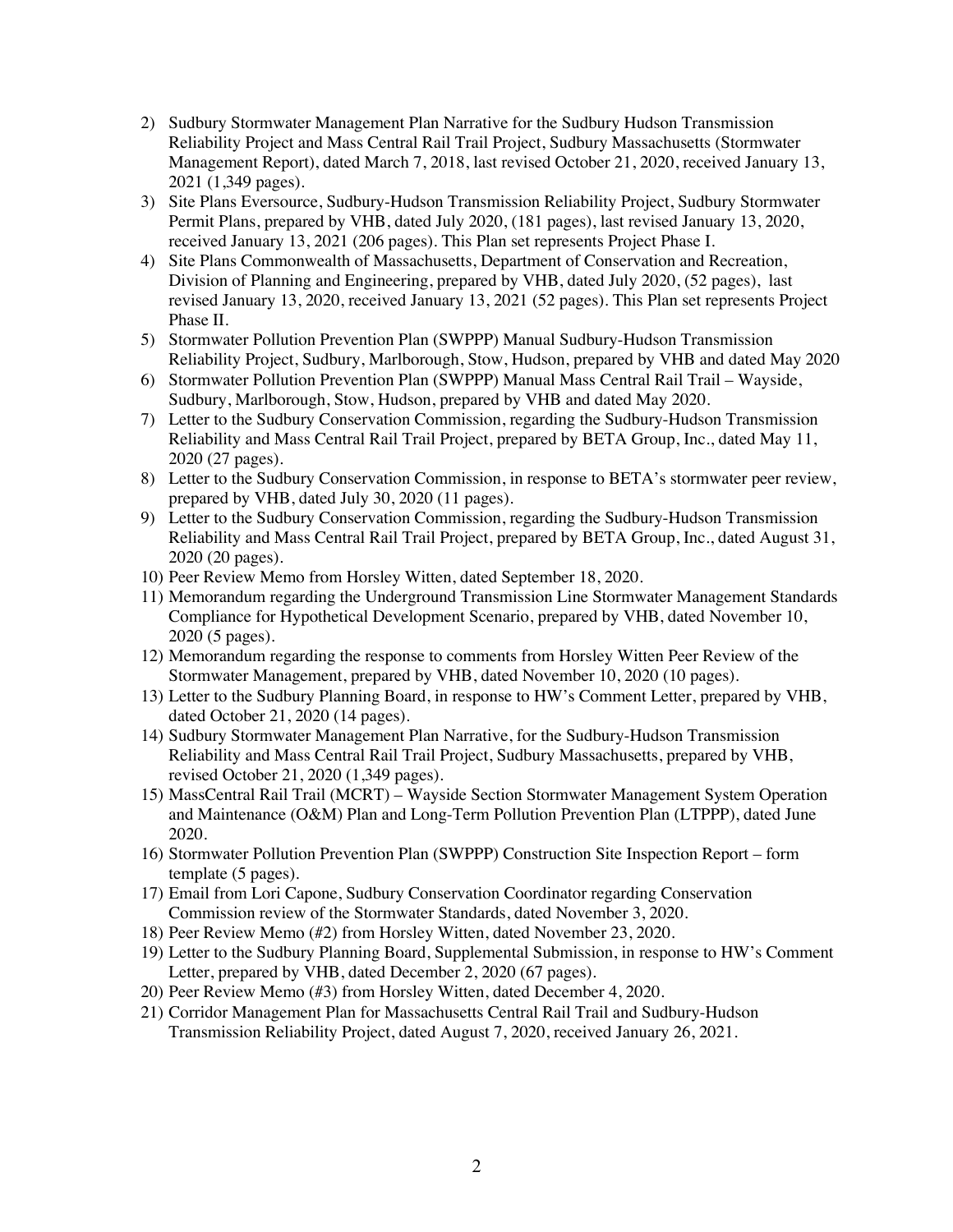- 2) Sudbury Stormwater Management Plan Narrative for the Sudbury Hudson Transmission Reliability Project and Mass Central Rail Trail Project, Sudbury Massachusetts (Stormwater Management Report), dated March 7, 2018, last revised October 21, 2020, received January 13, 2021 (1,349 pages).
- 3) Site Plans Eversource, Sudbury-Hudson Transmission Reliability Project, Sudbury Stormwater Permit Plans, prepared by VHB, dated July 2020, (181 pages), last revised January 13, 2020, received January 13, 2021 (206 pages). This Plan set represents Project Phase I.
- 4) Site Plans Commonwealth of Massachusetts, Department of Conservation and Recreation, Division of Planning and Engineering, prepared by VHB, dated July 2020, (52 pages), last revised January 13, 2020, received January 13, 2021 (52 pages). This Plan set represents Project Phase II.
- 5) Stormwater Pollution Prevention Plan (SWPPP) Manual Sudbury-Hudson Transmission Reliability Project, Sudbury, Marlborough, Stow, Hudson, prepared by VHB and dated May 2020
- 6) Stormwater Pollution Prevention Plan (SWPPP) Manual Mass Central Rail Trail Wayside, Sudbury, Marlborough, Stow, Hudson, prepared by VHB and dated May 2020.
- 7) Letter to the Sudbury Conservation Commission, regarding the Sudbury-Hudson Transmission Reliability and Mass Central Rail Trail Project, prepared by BETA Group, Inc., dated May 11, 2020 (27 pages).
- 8) Letter to the Sudbury Conservation Commission, in response to BETA's stormwater peer review, prepared by VHB, dated July 30, 2020 (11 pages).
- 9) Letter to the Sudbury Conservation Commission, regarding the Sudbury-Hudson Transmission Reliability and Mass Central Rail Trail Project, prepared by BETA Group, Inc., dated August 31, 2020 (20 pages).
- 10) Peer Review Memo from Horsley Witten, dated September 18, 2020.
- 11) Memorandum regarding the Underground Transmission Line Stormwater Management Standards Compliance for Hypothetical Development Scenario, prepared by VHB, dated November 10, 2020 (5 pages).
- 12) Memorandum regarding the response to comments from Horsley Witten Peer Review of the Stormwater Management, prepared by VHB, dated November 10, 2020 (10 pages).
- 13) Letter to the Sudbury Planning Board, in response to HW's Comment Letter, prepared by VHB, dated October 21, 2020 (14 pages).
- 14) Sudbury Stormwater Management Plan Narrative, for the Sudbury-Hudson Transmission Reliability and Mass Central Rail Trail Project, Sudbury Massachusetts, prepared by VHB, revised October 21, 2020 (1,349 pages).
- 15) MassCentral Rail Trail (MCRT) Wayside Section Stormwater Management System Operation and Maintenance (O&M) Plan and Long-Term Pollution Prevention Plan (LTPPP), dated June 2020.
- 16) Stormwater Pollution Prevention Plan (SWPPP) Construction Site Inspection Report form template (5 pages).
- 17) Email from Lori Capone, Sudbury Conservation Coordinator regarding Conservation Commission review of the Stormwater Standards, dated November 3, 2020.
- 18) Peer Review Memo (#2) from Horsley Witten, dated November 23, 2020.
- 19) Letter to the Sudbury Planning Board, Supplemental Submission, in response to HW's Comment Letter, prepared by VHB, dated December 2, 2020 (67 pages).
- 20) Peer Review Memo (#3) from Horsley Witten, dated December 4, 2020.
- 21) Corridor Management Plan for Massachusetts Central Rail Trail and Sudbury-Hudson Transmission Reliability Project, dated August 7, 2020, received January 26, 2021.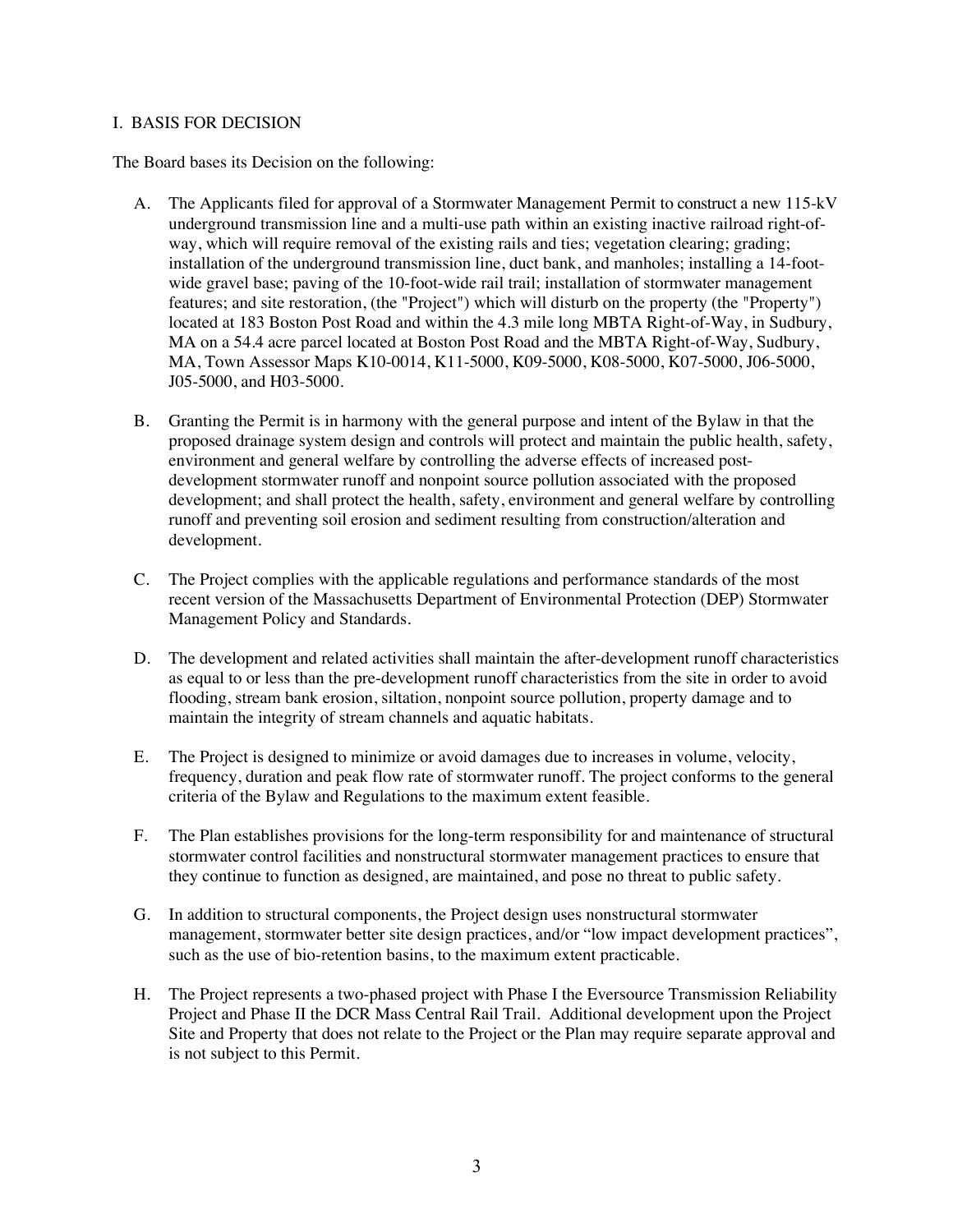#### I. BASIS FOR DECISION

The Board bases its Decision on the following:

- A. The Applicants filed for approval of a Stormwater Management Permit to construct a new 115-kV underground transmission line and a multi-use path within an existing inactive railroad right-ofway, which will require removal of the existing rails and ties; vegetation clearing; grading; installation of the underground transmission line, duct bank, and manholes; installing a 14-footwide gravel base; paving of the 10-foot-wide rail trail; installation of stormwater management features; and site restoration, (the "Project") which will disturb on the property (the "Property") located at 183 Boston Post Road and within the 4.3 mile long MBTA Right-of-Way, in Sudbury, MA on a 54.4 acre parcel located at Boston Post Road and the MBTA Right-of-Way, Sudbury, MA, Town Assessor Maps K10-0014, K11-5000, K09-5000, K08-5000, K07-5000, J06-5000, J05-5000, and H03-5000.
- B. Granting the Permit is in harmony with the general purpose and intent of the Bylaw in that the proposed drainage system design and controls will protect and maintain the public health, safety, environment and general welfare by controlling the adverse effects of increased postdevelopment stormwater runoff and nonpoint source pollution associated with the proposed development; and shall protect the health, safety, environment and general welfare by controlling runoff and preventing soil erosion and sediment resulting from construction/alteration and development.
- C. The Project complies with the applicable regulations and performance standards of the most recent version of the Massachusetts Department of Environmental Protection (DEP) Stormwater Management Policy and Standards.
- D. The development and related activities shall maintain the after-development runoff characteristics as equal to or less than the pre-development runoff characteristics from the site in order to avoid flooding, stream bank erosion, siltation, nonpoint source pollution, property damage and to maintain the integrity of stream channels and aquatic habitats.
- E. The Project is designed to minimize or avoid damages due to increases in volume, velocity, frequency, duration and peak flow rate of stormwater runoff. The project conforms to the general criteria of the Bylaw and Regulations to the maximum extent feasible.
- F. The Plan establishes provisions for the long-term responsibility for and maintenance of structural stormwater control facilities and nonstructural stormwater management practices to ensure that they continue to function as designed, are maintained, and pose no threat to public safety.
- G. In addition to structural components, the Project design uses nonstructural stormwater management, stormwater better site design practices, and/or "low impact development practices", such as the use of bio-retention basins, to the maximum extent practicable.
- H. The Project represents a two-phased project with Phase I the Eversource Transmission Reliability Project and Phase II the DCR Mass Central Rail Trail. Additional development upon the Project Site and Property that does not relate to the Project or the Plan may require separate approval and is not subject to this Permit.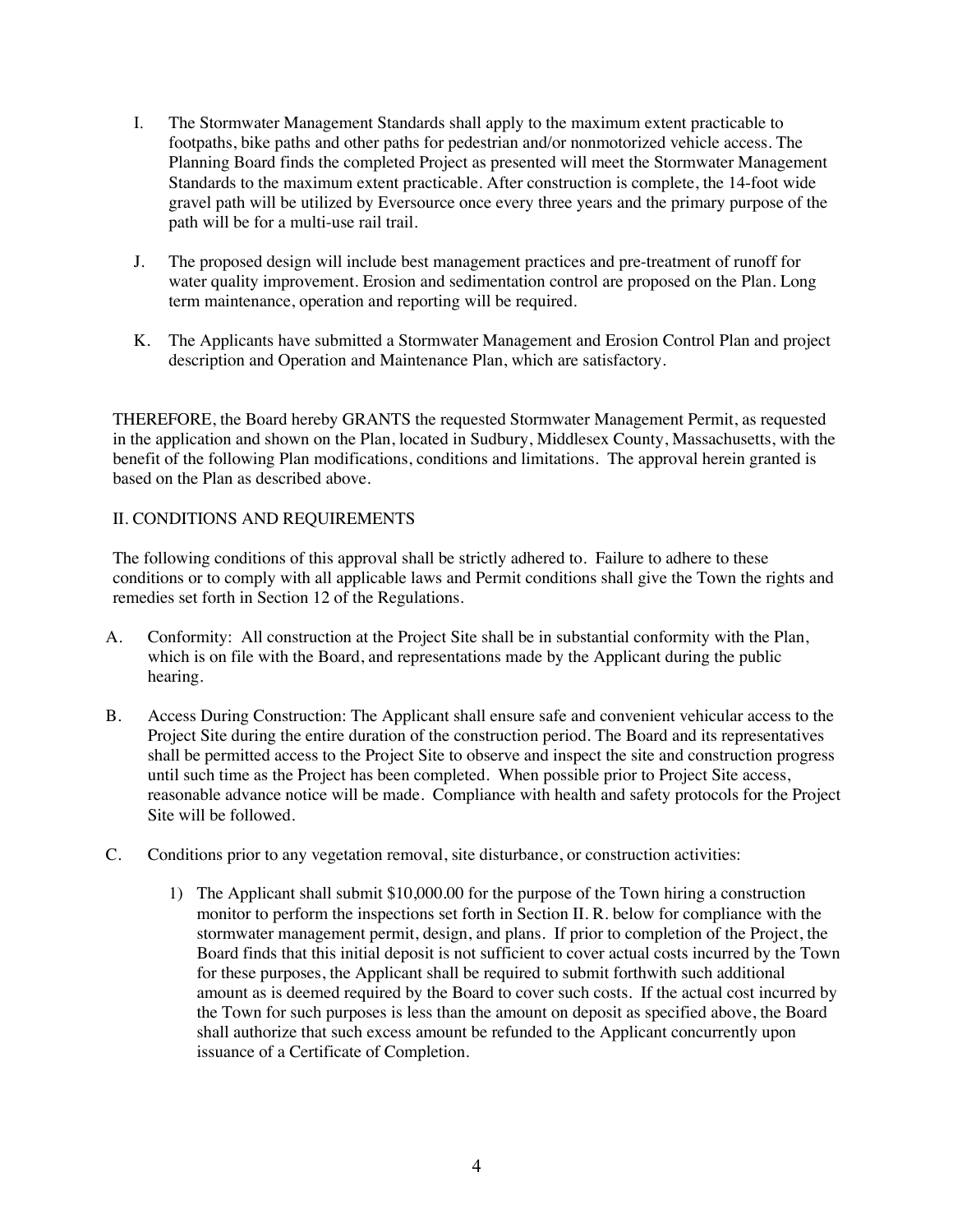- I. The Stormwater Management Standards shall apply to the maximum extent practicable to footpaths, bike paths and other paths for pedestrian and/or nonmotorized vehicle access. The Planning Board finds the completed Project as presented will meet the Stormwater Management Standards to the maximum extent practicable. After construction is complete, the 14-foot wide gravel path will be utilized by Eversource once every three years and the primary purpose of the path will be for a multi-use rail trail.
- J. The proposed design will include best management practices and pre-treatment of runoff for water quality improvement. Erosion and sedimentation control are proposed on the Plan. Long term maintenance, operation and reporting will be required.
- K. The Applicants have submitted a Stormwater Management and Erosion Control Plan and project description and Operation and Maintenance Plan, which are satisfactory.

THEREFORE, the Board hereby GRANTS the requested Stormwater Management Permit, as requested in the application and shown on the Plan, located in Sudbury, Middlesex County, Massachusetts, with the benefit of the following Plan modifications, conditions and limitations. The approval herein granted is based on the Plan as described above.

## II. CONDITIONS AND REQUIREMENTS

The following conditions of this approval shall be strictly adhered to. Failure to adhere to these conditions or to comply with all applicable laws and Permit conditions shall give the Town the rights and remedies set forth in Section 12 of the Regulations.

- A. Conformity: All construction at the Project Site shall be in substantial conformity with the Plan, which is on file with the Board, and representations made by the Applicant during the public hearing.
- B. Access During Construction: The Applicant shall ensure safe and convenient vehicular access to the Project Site during the entire duration of the construction period. The Board and its representatives shall be permitted access to the Project Site to observe and inspect the site and construction progress until such time as the Project has been completed. When possible prior to Project Site access, reasonable advance notice will be made. Compliance with health and safety protocols for the Project Site will be followed.
- C. Conditions prior to any vegetation removal, site disturbance, or construction activities:
	- 1) The Applicant shall submit \$10,000.00 for the purpose of the Town hiring a construction monitor to perform the inspections set forth in Section II. R. below for compliance with the stormwater management permit, design, and plans. If prior to completion of the Project, the Board finds that this initial deposit is not sufficient to cover actual costs incurred by the Town for these purposes, the Applicant shall be required to submit forthwith such additional amount as is deemed required by the Board to cover such costs. If the actual cost incurred by the Town for such purposes is less than the amount on deposit as specified above, the Board shall authorize that such excess amount be refunded to the Applicant concurrently upon issuance of a Certificate of Completion.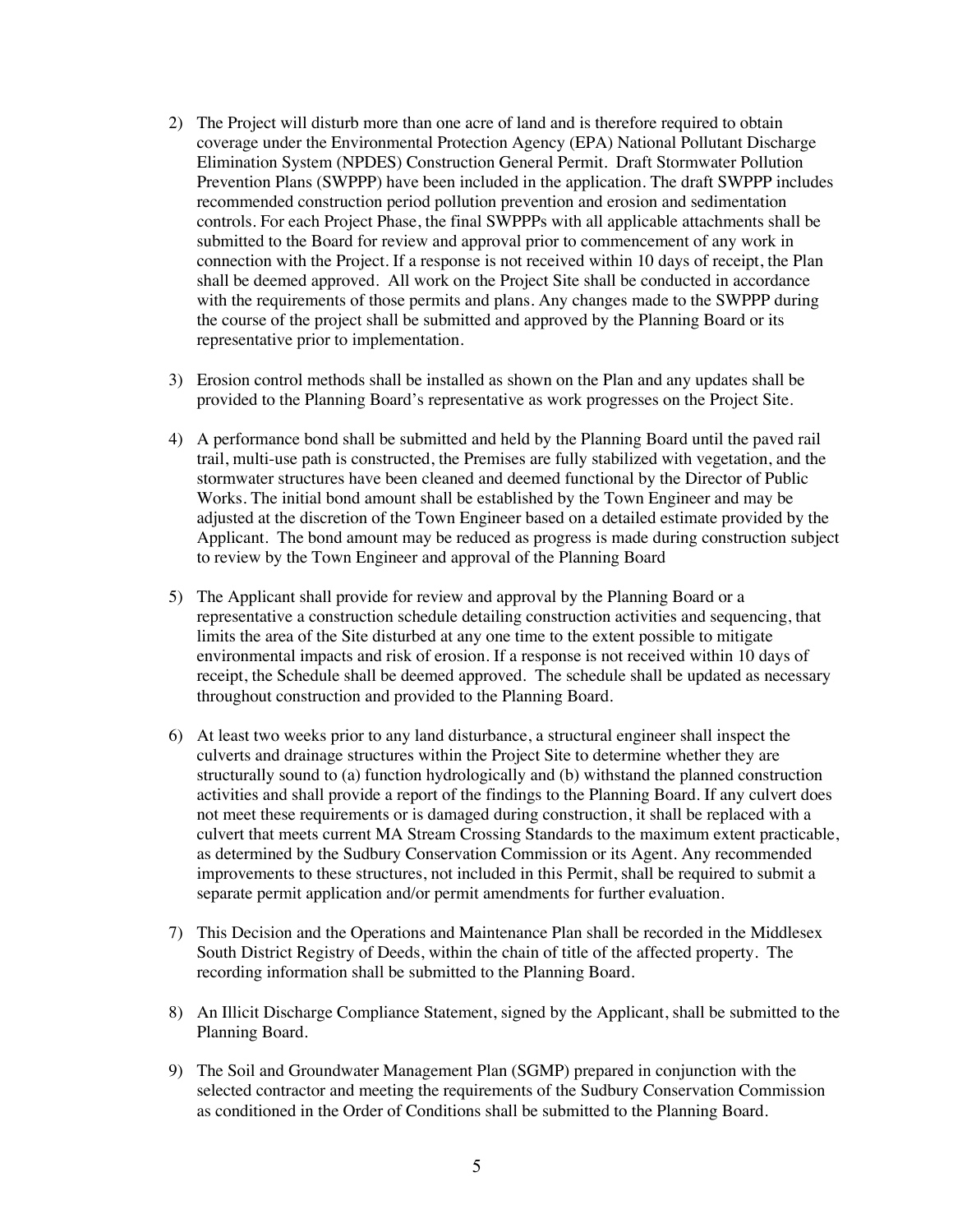- 2) The Project will disturb more than one acre of land and is therefore required to obtain coverage under the Environmental Protection Agency (EPA) National Pollutant Discharge Elimination System (NPDES) Construction General Permit. Draft Stormwater Pollution Prevention Plans (SWPPP) have been included in the application. The draft SWPPP includes recommended construction period pollution prevention and erosion and sedimentation controls. For each Project Phase, the final SWPPPs with all applicable attachments shall be submitted to the Board for review and approval prior to commencement of any work in connection with the Project. If a response is not received within 10 days of receipt, the Plan shall be deemed approved. All work on the Project Site shall be conducted in accordance with the requirements of those permits and plans. Any changes made to the SWPPP during the course of the project shall be submitted and approved by the Planning Board or its representative prior to implementation.
- 3) Erosion control methods shall be installed as shown on the Plan and any updates shall be provided to the Planning Board's representative as work progresses on the Project Site.
- 4) A performance bond shall be submitted and held by the Planning Board until the paved rail trail, multi-use path is constructed, the Premises are fully stabilized with vegetation, and the stormwater structures have been cleaned and deemed functional by the Director of Public Works. The initial bond amount shall be established by the Town Engineer and may be adjusted at the discretion of the Town Engineer based on a detailed estimate provided by the Applicant. The bond amount may be reduced as progress is made during construction subject to review by the Town Engineer and approval of the Planning Board
- 5) The Applicant shall provide for review and approval by the Planning Board or a representative a construction schedule detailing construction activities and sequencing, that limits the area of the Site disturbed at any one time to the extent possible to mitigate environmental impacts and risk of erosion. If a response is not received within 10 days of receipt, the Schedule shall be deemed approved. The schedule shall be updated as necessary throughout construction and provided to the Planning Board.
- 6) At least two weeks prior to any land disturbance, a structural engineer shall inspect the culverts and drainage structures within the Project Site to determine whether they are structurally sound to (a) function hydrologically and (b) withstand the planned construction activities and shall provide a report of the findings to the Planning Board. If any culvert does not meet these requirements or is damaged during construction, it shall be replaced with a culvert that meets current MA Stream Crossing Standards to the maximum extent practicable, as determined by the Sudbury Conservation Commission or its Agent. Any recommended improvements to these structures, not included in this Permit, shall be required to submit a separate permit application and/or permit amendments for further evaluation.
- 7) This Decision and the Operations and Maintenance Plan shall be recorded in the Middlesex South District Registry of Deeds, within the chain of title of the affected property. The recording information shall be submitted to the Planning Board.
- 8) An Illicit Discharge Compliance Statement, signed by the Applicant, shall be submitted to the Planning Board.
- 9) The Soil and Groundwater Management Plan (SGMP) prepared in conjunction with the selected contractor and meeting the requirements of the Sudbury Conservation Commission as conditioned in the Order of Conditions shall be submitted to the Planning Board.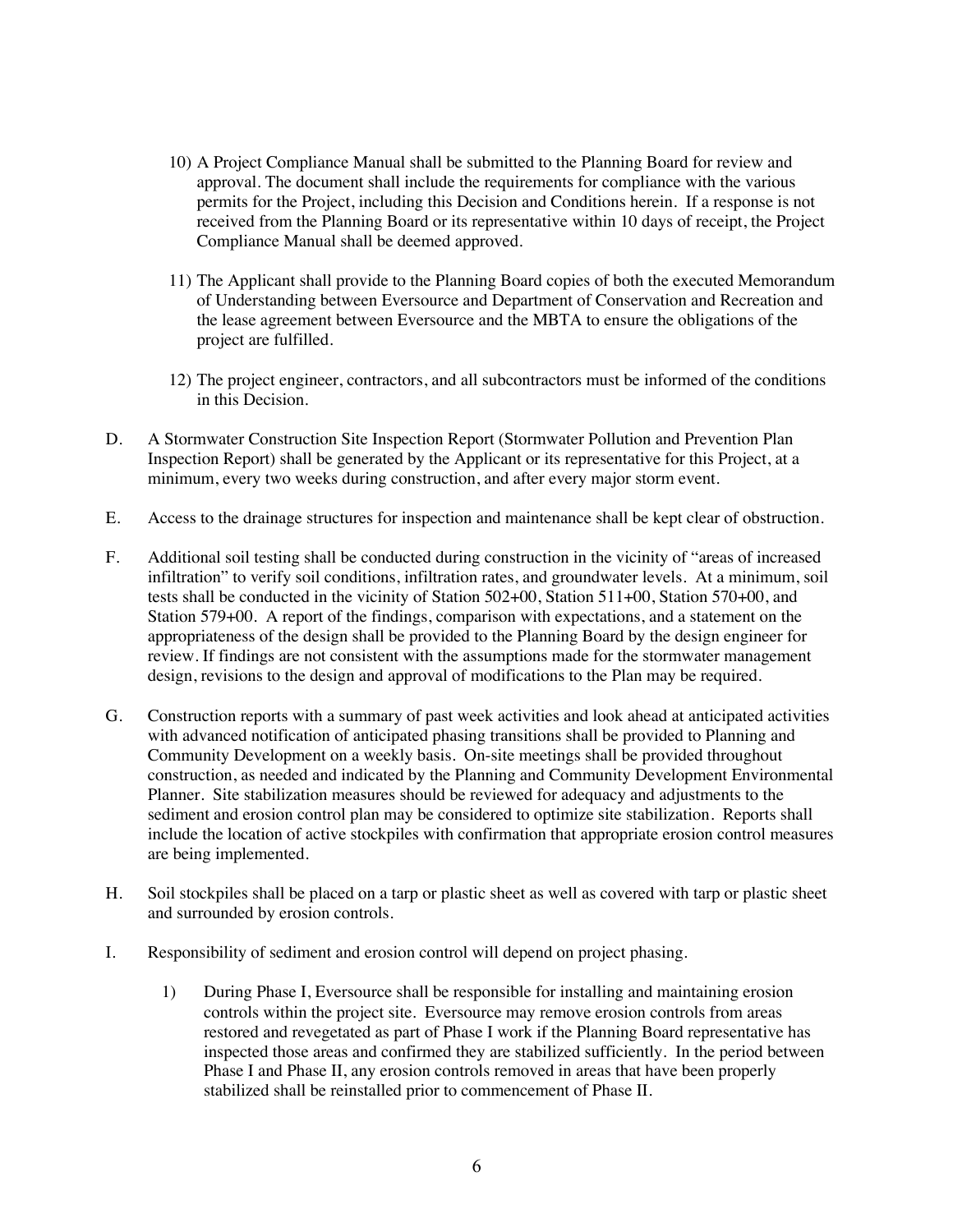- 10) A Project Compliance Manual shall be submitted to the Planning Board for review and approval. The document shall include the requirements for compliance with the various permits for the Project, including this Decision and Conditions herein. If a response is not received from the Planning Board or its representative within 10 days of receipt, the Project Compliance Manual shall be deemed approved.
- 11) The Applicant shall provide to the Planning Board copies of both the executed Memorandum of Understanding between Eversource and Department of Conservation and Recreation and the lease agreement between Eversource and the MBTA to ensure the obligations of the project are fulfilled.
- 12) The project engineer, contractors, and all subcontractors must be informed of the conditions in this Decision.
- D. A Stormwater Construction Site Inspection Report (Stormwater Pollution and Prevention Plan Inspection Report) shall be generated by the Applicant or its representative for this Project, at a minimum, every two weeks during construction, and after every major storm event.
- E. Access to the drainage structures for inspection and maintenance shall be kept clear of obstruction.
- F. Additional soil testing shall be conducted during construction in the vicinity of "areas of increased infiltration" to verify soil conditions, infiltration rates, and groundwater levels. At a minimum, soil tests shall be conducted in the vicinity of Station 502+00, Station 511+00, Station 570+00, and Station 579+00. A report of the findings, comparison with expectations, and a statement on the appropriateness of the design shall be provided to the Planning Board by the design engineer for review. If findings are not consistent with the assumptions made for the stormwater management design, revisions to the design and approval of modifications to the Plan may be required.
- G. Construction reports with a summary of past week activities and look ahead at anticipated activities with advanced notification of anticipated phasing transitions shall be provided to Planning and Community Development on a weekly basis. On-site meetings shall be provided throughout construction, as needed and indicated by the Planning and Community Development Environmental Planner. Site stabilization measures should be reviewed for adequacy and adjustments to the sediment and erosion control plan may be considered to optimize site stabilization. Reports shall include the location of active stockpiles with confirmation that appropriate erosion control measures are being implemented.
- H. Soil stockpiles shall be placed on a tarp or plastic sheet as well as covered with tarp or plastic sheet and surrounded by erosion controls.
- I. Responsibility of sediment and erosion control will depend on project phasing.
	- 1) During Phase I, Eversource shall be responsible for installing and maintaining erosion controls within the project site. Eversource may remove erosion controls from areas restored and revegetated as part of Phase I work if the Planning Board representative has inspected those areas and confirmed they are stabilized sufficiently. In the period between Phase I and Phase II, any erosion controls removed in areas that have been properly stabilized shall be reinstalled prior to commencement of Phase II.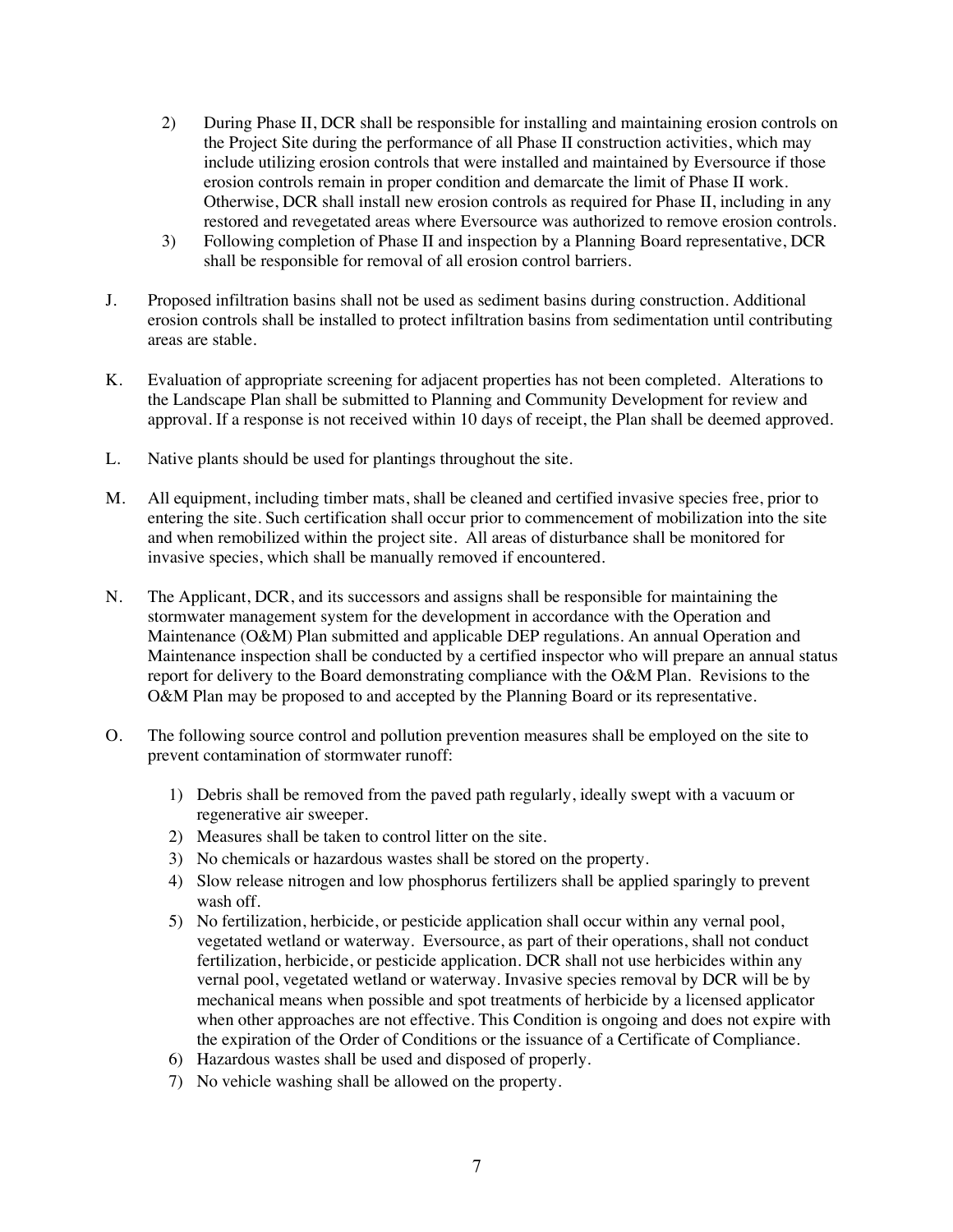- 2) During Phase II, DCR shall be responsible for installing and maintaining erosion controls on the Project Site during the performance of all Phase II construction activities, which may include utilizing erosion controls that were installed and maintained by Eversource if those erosion controls remain in proper condition and demarcate the limit of Phase II work. Otherwise, DCR shall install new erosion controls as required for Phase II, including in any restored and revegetated areas where Eversource was authorized to remove erosion controls.
- 3) Following completion of Phase II and inspection by a Planning Board representative, DCR shall be responsible for removal of all erosion control barriers.
- J. Proposed infiltration basins shall not be used as sediment basins during construction. Additional erosion controls shall be installed to protect infiltration basins from sedimentation until contributing areas are stable.
- K. Evaluation of appropriate screening for adjacent properties has not been completed. Alterations to the Landscape Plan shall be submitted to Planning and Community Development for review and approval. If a response is not received within 10 days of receipt, the Plan shall be deemed approved.
- L. Native plants should be used for plantings throughout the site.
- M. All equipment, including timber mats, shall be cleaned and certified invasive species free, prior to entering the site. Such certification shall occur prior to commencement of mobilization into the site and when remobilized within the project site. All areas of disturbance shall be monitored for invasive species, which shall be manually removed if encountered.
- N. The Applicant, DCR, and its successors and assigns shall be responsible for maintaining the stormwater management system for the development in accordance with the Operation and Maintenance (O&M) Plan submitted and applicable DEP regulations. An annual Operation and Maintenance inspection shall be conducted by a certified inspector who will prepare an annual status report for delivery to the Board demonstrating compliance with the O&M Plan. Revisions to the O&M Plan may be proposed to and accepted by the Planning Board or its representative.
- O. The following source control and pollution prevention measures shall be employed on the site to prevent contamination of stormwater runoff:
	- 1) Debris shall be removed from the paved path regularly, ideally swept with a vacuum or regenerative air sweeper.
	- 2) Measures shall be taken to control litter on the site.
	- 3) No chemicals or hazardous wastes shall be stored on the property.
	- 4) Slow release nitrogen and low phosphorus fertilizers shall be applied sparingly to prevent wash off.
	- 5) No fertilization, herbicide, or pesticide application shall occur within any vernal pool, vegetated wetland or waterway. Eversource, as part of their operations, shall not conduct fertilization, herbicide, or pesticide application. DCR shall not use herbicides within any vernal pool, vegetated wetland or waterway. Invasive species removal by DCR will be by mechanical means when possible and spot treatments of herbicide by a licensed applicator when other approaches are not effective. This Condition is ongoing and does not expire with the expiration of the Order of Conditions or the issuance of a Certificate of Compliance.
	- 6) Hazardous wastes shall be used and disposed of properly.
	- 7) No vehicle washing shall be allowed on the property.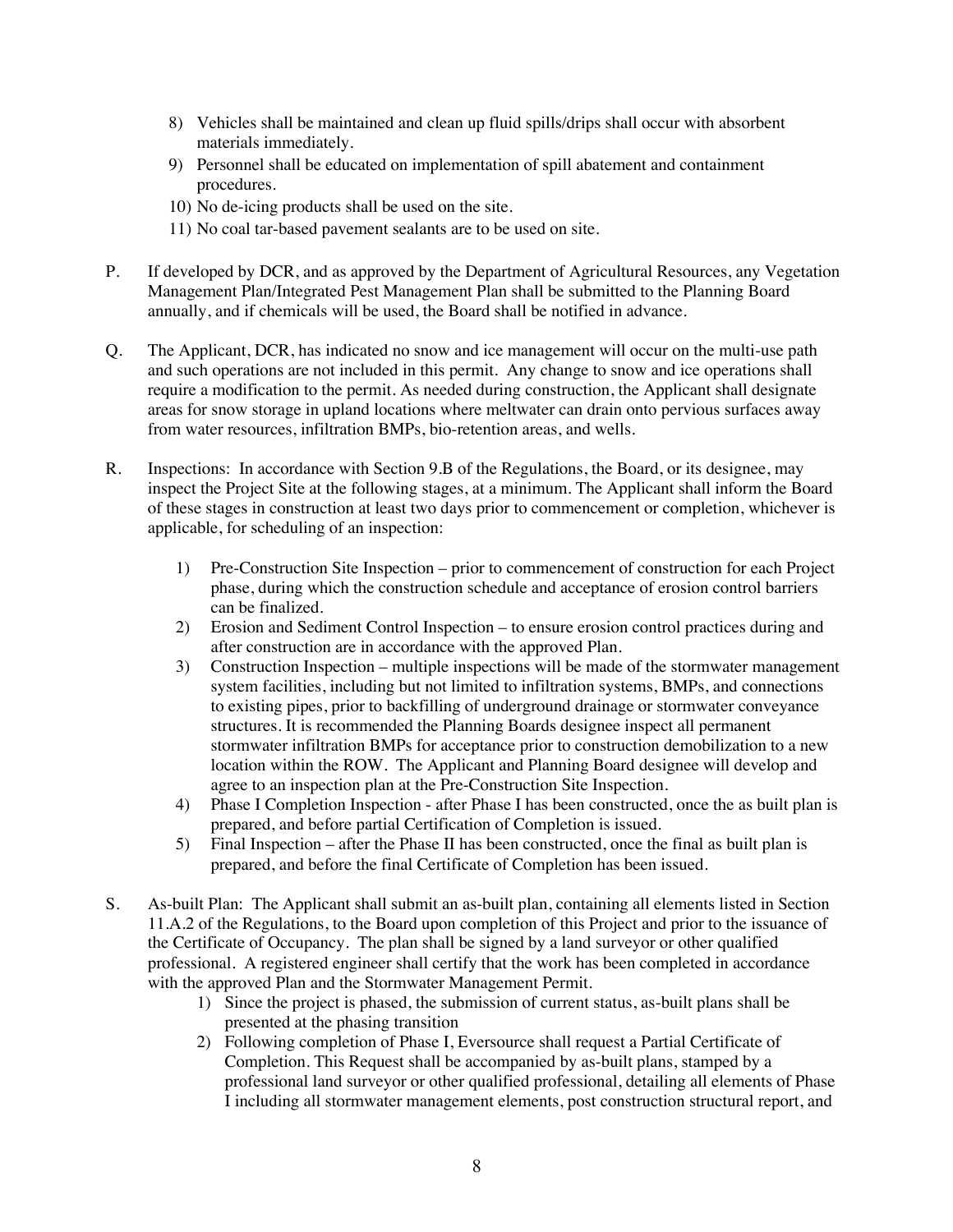- 8) Vehicles shall be maintained and clean up fluid spills/drips shall occur with absorbent materials immediately.
- 9) Personnel shall be educated on implementation of spill abatement and containment procedures.
- 10) No de-icing products shall be used on the site.
- 11) No coal tar-based pavement sealants are to be used on site.
- P. If developed by DCR, and as approved by the Department of Agricultural Resources, any Vegetation Management Plan/Integrated Pest Management Plan shall be submitted to the Planning Board annually, and if chemicals will be used, the Board shall be notified in advance.
- Q. The Applicant, DCR, has indicated no snow and ice management will occur on the multi-use path and such operations are not included in this permit. Any change to snow and ice operations shall require a modification to the permit. As needed during construction, the Applicant shall designate areas for snow storage in upland locations where meltwater can drain onto pervious surfaces away from water resources, infiltration BMPs, bio-retention areas, and wells.
- R. Inspections: In accordance with Section 9.B of the Regulations, the Board, or its designee, may inspect the Project Site at the following stages, at a minimum. The Applicant shall inform the Board of these stages in construction at least two days prior to commencement or completion, whichever is applicable, for scheduling of an inspection:
	- 1) Pre-Construction Site Inspection prior to commencement of construction for each Project phase, during which the construction schedule and acceptance of erosion control barriers can be finalized.
	- 2) Erosion and Sediment Control Inspection to ensure erosion control practices during and after construction are in accordance with the approved Plan.
	- 3) Construction Inspection multiple inspections will be made of the stormwater management system facilities, including but not limited to infiltration systems, BMPs, and connections to existing pipes, prior to backfilling of underground drainage or stormwater conveyance structures. It is recommended the Planning Boards designee inspect all permanent stormwater infiltration BMPs for acceptance prior to construction demobilization to a new location within the ROW. The Applicant and Planning Board designee will develop and agree to an inspection plan at the Pre-Construction Site Inspection.
	- 4) Phase I Completion Inspection after Phase I has been constructed, once the as built plan is prepared, and before partial Certification of Completion is issued.
	- 5) Final Inspection after the Phase II has been constructed, once the final as built plan is prepared, and before the final Certificate of Completion has been issued.
- S. As-built Plan: The Applicant shall submit an as-built plan, containing all elements listed in Section 11.A.2 of the Regulations, to the Board upon completion of this Project and prior to the issuance of the Certificate of Occupancy. The plan shall be signed by a land surveyor or other qualified professional. A registered engineer shall certify that the work has been completed in accordance with the approved Plan and the Stormwater Management Permit.
	- 1) Since the project is phased, the submission of current status, as-built plans shall be presented at the phasing transition
	- 2) Following completion of Phase I, Eversource shall request a Partial Certificate of Completion. This Request shall be accompanied by as-built plans, stamped by a professional land surveyor or other qualified professional, detailing all elements of Phase I including all stormwater management elements, post construction structural report, and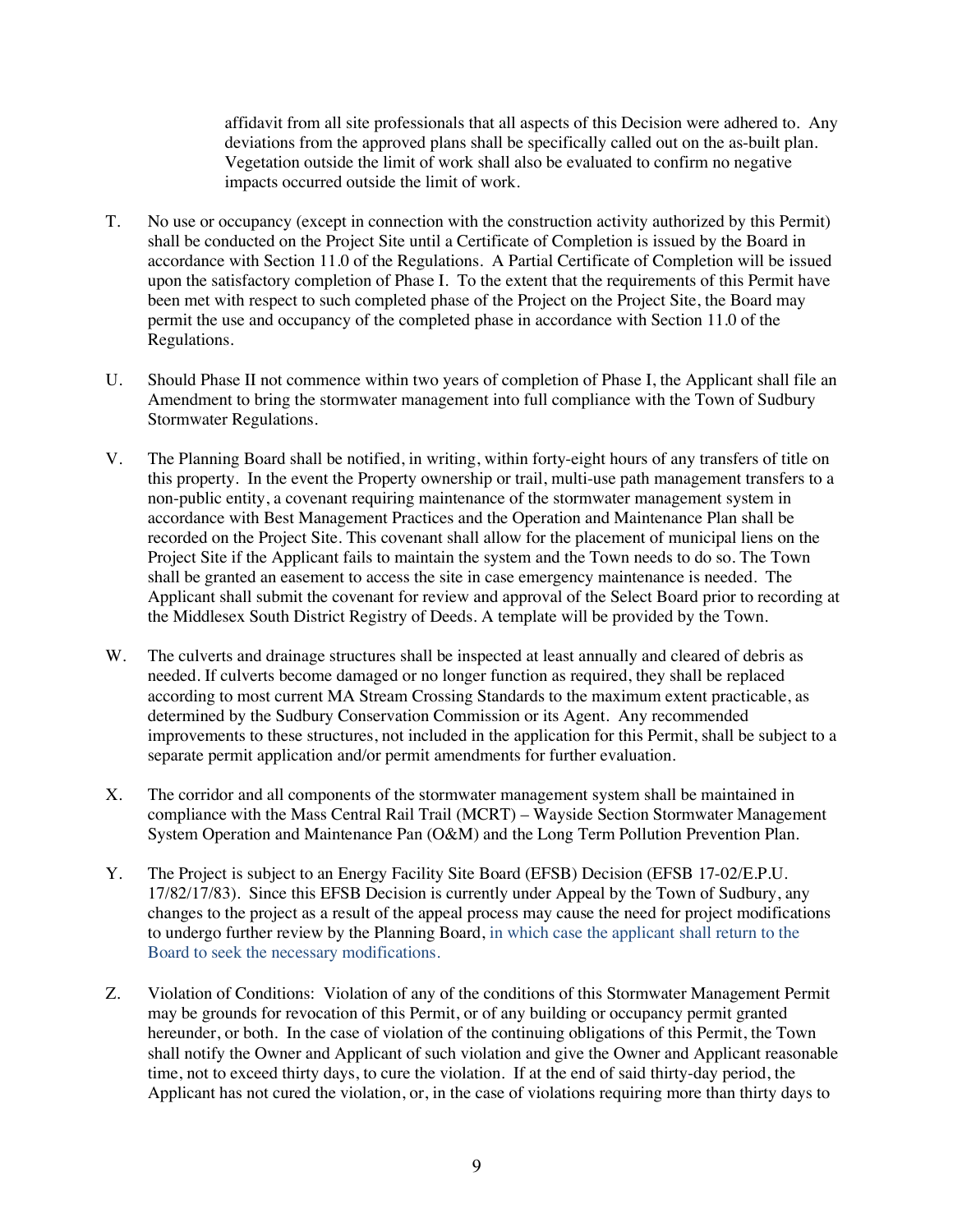affidavit from all site professionals that all aspects of this Decision were adhered to. Any deviations from the approved plans shall be specifically called out on the as-built plan. Vegetation outside the limit of work shall also be evaluated to confirm no negative impacts occurred outside the limit of work.

- T. No use or occupancy (except in connection with the construction activity authorized by this Permit) shall be conducted on the Project Site until a Certificate of Completion is issued by the Board in accordance with Section 11.0 of the Regulations. A Partial Certificate of Completion will be issued upon the satisfactory completion of Phase I. To the extent that the requirements of this Permit have been met with respect to such completed phase of the Project on the Project Site, the Board may permit the use and occupancy of the completed phase in accordance with Section 11.0 of the Regulations.
- U. Should Phase II not commence within two years of completion of Phase I, the Applicant shall file an Amendment to bring the stormwater management into full compliance with the Town of Sudbury Stormwater Regulations.
- V. The Planning Board shall be notified, in writing, within forty-eight hours of any transfers of title on this property. In the event the Property ownership or trail, multi-use path management transfers to a non-public entity, a covenant requiring maintenance of the stormwater management system in accordance with Best Management Practices and the Operation and Maintenance Plan shall be recorded on the Project Site. This covenant shall allow for the placement of municipal liens on the Project Site if the Applicant fails to maintain the system and the Town needs to do so. The Town shall be granted an easement to access the site in case emergency maintenance is needed. The Applicant shall submit the covenant for review and approval of the Select Board prior to recording at the Middlesex South District Registry of Deeds. A template will be provided by the Town.
- W. The culverts and drainage structures shall be inspected at least annually and cleared of debris as needed. If culverts become damaged or no longer function as required, they shall be replaced according to most current MA Stream Crossing Standards to the maximum extent practicable, as determined by the Sudbury Conservation Commission or its Agent. Any recommended improvements to these structures, not included in the application for this Permit, shall be subject to a separate permit application and/or permit amendments for further evaluation.
- X. The corridor and all components of the stormwater management system shall be maintained in compliance with the Mass Central Rail Trail (MCRT) – Wayside Section Stormwater Management System Operation and Maintenance Pan (O&M) and the Long Term Pollution Prevention Plan.
- Y. The Project is subject to an Energy Facility Site Board (EFSB) Decision (EFSB 17-02/E.P.U. 17/82/17/83). Since this EFSB Decision is currently under Appeal by the Town of Sudbury, any changes to the project as a result of the appeal process may cause the need for project modifications to undergo further review by the Planning Board, in which case the applicant shall return to the Board to seek the necessary modifications.
- Z. Violation of Conditions: Violation of any of the conditions of this Stormwater Management Permit may be grounds for revocation of this Permit, or of any building or occupancy permit granted hereunder, or both. In the case of violation of the continuing obligations of this Permit, the Town shall notify the Owner and Applicant of such violation and give the Owner and Applicant reasonable time, not to exceed thirty days, to cure the violation. If at the end of said thirty-day period, the Applicant has not cured the violation, or, in the case of violations requiring more than thirty days to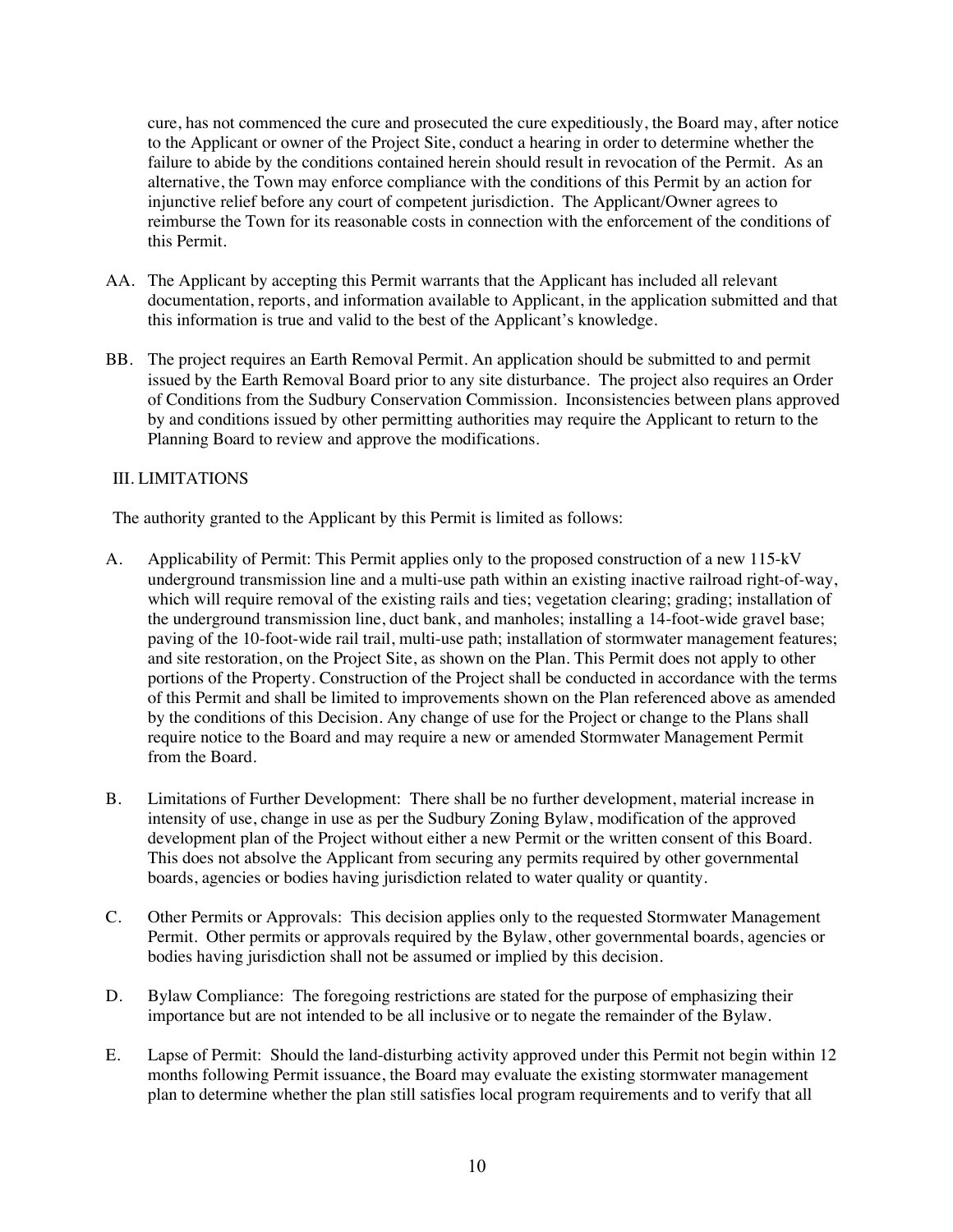cure, has not commenced the cure and prosecuted the cure expeditiously, the Board may, after notice to the Applicant or owner of the Project Site, conduct a hearing in order to determine whether the failure to abide by the conditions contained herein should result in revocation of the Permit. As an alternative, the Town may enforce compliance with the conditions of this Permit by an action for injunctive relief before any court of competent jurisdiction. The Applicant/Owner agrees to reimburse the Town for its reasonable costs in connection with the enforcement of the conditions of this Permit.

- AA. The Applicant by accepting this Permit warrants that the Applicant has included all relevant documentation, reports, and information available to Applicant, in the application submitted and that this information is true and valid to the best of the Applicant's knowledge.
- BB. The project requires an Earth Removal Permit. An application should be submitted to and permit issued by the Earth Removal Board prior to any site disturbance. The project also requires an Order of Conditions from the Sudbury Conservation Commission. Inconsistencies between plans approved by and conditions issued by other permitting authorities may require the Applicant to return to the Planning Board to review and approve the modifications.

## III. LIMITATIONS

The authority granted to the Applicant by this Permit is limited as follows:

- A. Applicability of Permit: This Permit applies only to the proposed construction of a new 115-kV underground transmission line and a multi-use path within an existing inactive railroad right-of-way, which will require removal of the existing rails and ties; vegetation clearing; grading; installation of the underground transmission line, duct bank, and manholes; installing a 14-foot-wide gravel base; paving of the 10-foot-wide rail trail, multi-use path; installation of stormwater management features; and site restoration, on the Project Site, as shown on the Plan. This Permit does not apply to other portions of the Property. Construction of the Project shall be conducted in accordance with the terms of this Permit and shall be limited to improvements shown on the Plan referenced above as amended by the conditions of this Decision. Any change of use for the Project or change to the Plans shall require notice to the Board and may require a new or amended Stormwater Management Permit from the Board.
- B. Limitations of Further Development: There shall be no further development, material increase in intensity of use, change in use as per the Sudbury Zoning Bylaw, modification of the approved development plan of the Project without either a new Permit or the written consent of this Board. This does not absolve the Applicant from securing any permits required by other governmental boards, agencies or bodies having jurisdiction related to water quality or quantity.
- C. Other Permits or Approvals: This decision applies only to the requested Stormwater Management Permit. Other permits or approvals required by the Bylaw, other governmental boards, agencies or bodies having jurisdiction shall not be assumed or implied by this decision.
- D. Bylaw Compliance: The foregoing restrictions are stated for the purpose of emphasizing their importance but are not intended to be all inclusive or to negate the remainder of the Bylaw.
- E. Lapse of Permit: Should the land-disturbing activity approved under this Permit not begin within 12 months following Permit issuance, the Board may evaluate the existing stormwater management plan to determine whether the plan still satisfies local program requirements and to verify that all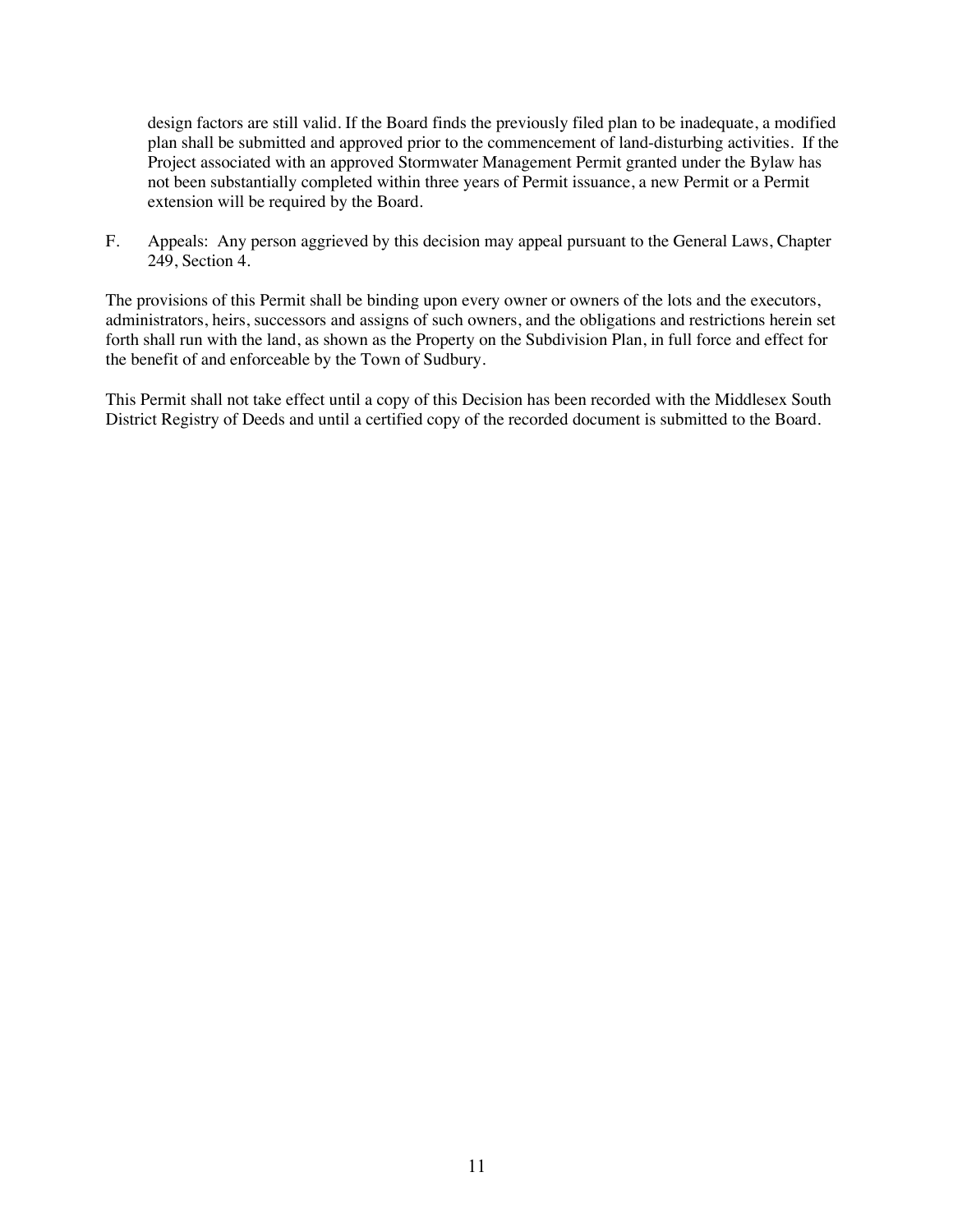design factors are still valid. If the Board finds the previously filed plan to be inadequate, a modified plan shall be submitted and approved prior to the commencement of land-disturbing activities. If the Project associated with an approved Stormwater Management Permit granted under the Bylaw has not been substantially completed within three years of Permit issuance, a new Permit or a Permit extension will be required by the Board.

F. Appeals: Any person aggrieved by this decision may appeal pursuant to the General Laws, Chapter 249, Section 4.

The provisions of this Permit shall be binding upon every owner or owners of the lots and the executors, administrators, heirs, successors and assigns of such owners, and the obligations and restrictions herein set forth shall run with the land, as shown as the Property on the Subdivision Plan, in full force and effect for the benefit of and enforceable by the Town of Sudbury.

This Permit shall not take effect until a copy of this Decision has been recorded with the Middlesex South District Registry of Deeds and until a certified copy of the recorded document is submitted to the Board.